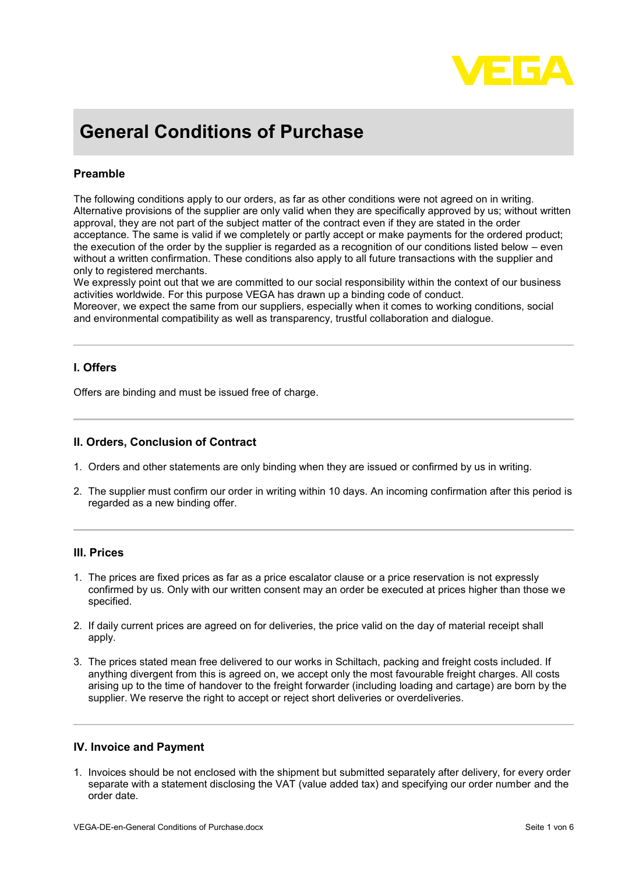

# **General Conditions of Purchase**

# **Preamble**

The following conditions apply to our orders, as far as other conditions were not agreed on in writing. Alternative provisions of the supplier are only valid when they are specifically approved by us; without written approval, they are not part of the subject matter of the contract even if they are stated in the order acceptance. The same is valid if we completely or partly accept or make payments for the ordered product; the execution of the order by the supplier is regarded as a recognition of our conditions listed below – even without a written confirmation. These conditions also apply to all future transactions with the supplier and only to registered merchants.

We expressly point out that we are committed to our social responsibility within the context of our business activities worldwide. For this purpose VEGA has drawn up a binding code of conduct.

Moreover, we expect the same from our suppliers, especially when it comes to working conditions, social and environmental compatibility as well as transparency, trustful collaboration and dialogue.

## **I. Offers**

Offers are binding and must be issued free of charge.

#### **II. Orders, Conclusion of Contract**

- 1. Orders and other statements are only binding when they are issued or confirmed by us in writing.
- 2. The supplier must confirm our order in writing within 10 days. An incoming confirmation after this period is regarded as a new binding offer.

#### **III. Prices**

- 1. The prices are fixed prices as far as a price escalator clause or a price reservation is not expressly confirmed by us. Only with our written consent may an order be executed at prices higher than those we specified.
- 2. If daily current prices are agreed on for deliveries, the price valid on the day of material receipt shall apply.
- 3. The prices stated mean free delivered to our works in Schiltach, packing and freight costs included. If anything divergent from this is agreed on, we accept only the most favourable freight charges. All costs arising up to the time of handover to the freight forwarder (including loading and cartage) are born by the supplier. We reserve the right to accept or reject short deliveries or overdeliveries.

#### **IV. Invoice and Payment**

1. Invoices should be not enclosed with the shipment but submitted separately after delivery, for every order separate with a statement disclosing the VAT (value added tax) and specifying our order number and the order date.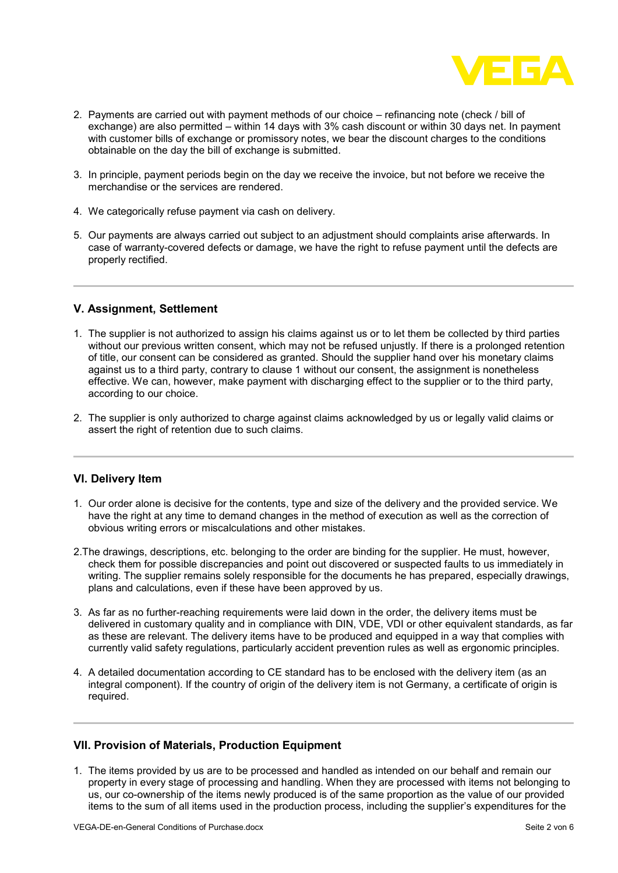

- 2. Payments are carried out with payment methods of our choice refinancing note (check / bill of exchange) are also permitted – within 14 days with 3% cash discount or within 30 days net. In payment with customer bills of exchange or promissory notes, we bear the discount charges to the conditions obtainable on the day the bill of exchange is submitted.
- 3. In principle, payment periods begin on the day we receive the invoice, but not before we receive the merchandise or the services are rendered.
- 4. We categorically refuse payment via cash on delivery.
- 5. Our payments are always carried out subject to an adjustment should complaints arise afterwards. In case of warranty-covered defects or damage, we have the right to refuse payment until the defects are properly rectified.

## **V. Assignment, Settlement**

- 1. The supplier is not authorized to assign his claims against us or to let them be collected by third parties without our previous written consent, which may not be refused unjustly. If there is a prolonged retention of title, our consent can be considered as granted. Should the supplier hand over his monetary claims against us to a third party, contrary to clause 1 without our consent, the assignment is nonetheless effective. We can, however, make payment with discharging effect to the supplier or to the third party, according to our choice.
- 2. The supplier is only authorized to charge against claims acknowledged by us or legally valid claims or assert the right of retention due to such claims.

#### **VI. Delivery Item**

- 1. Our order alone is decisive for the contents, type and size of the delivery and the provided service. We have the right at any time to demand changes in the method of execution as well as the correction of obvious writing errors or miscalculations and other mistakes.
- 2.The drawings, descriptions, etc. belonging to the order are binding for the supplier. He must, however, check them for possible discrepancies and point out discovered or suspected faults to us immediately in writing. The supplier remains solely responsible for the documents he has prepared, especially drawings, plans and calculations, even if these have been approved by us.
- 3. As far as no further-reaching requirements were laid down in the order, the delivery items must be delivered in customary quality and in compliance with DIN, VDE, VDI or other equivalent standards, as far as these are relevant. The delivery items have to be produced and equipped in a way that complies with currently valid safety regulations, particularly accident prevention rules as well as ergonomic principles.
- 4. A detailed documentation according to CE standard has to be enclosed with the delivery item (as an integral component). If the country of origin of the delivery item is not Germany, a certificate of origin is required.

#### **VII. Provision of Materials, Production Equipment**

1. The items provided by us are to be processed and handled as intended on our behalf and remain our property in every stage of processing and handling. When they are processed with items not belonging to us, our co-ownership of the items newly produced is of the same proportion as the value of our provided items to the sum of all items used in the production process, including the supplier's expenditures for the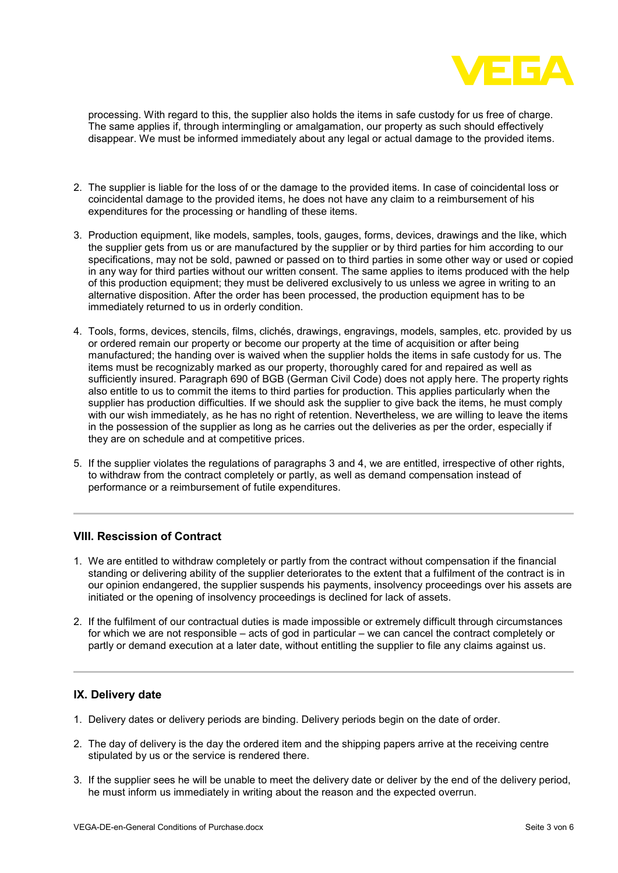

processing. With regard to this, the supplier also holds the items in safe custody for us free of charge. The same applies if, through intermingling or amalgamation, our property as such should effectively disappear. We must be informed immediately about any legal or actual damage to the provided items.

- 2. The supplier is liable for the loss of or the damage to the provided items. In case of coincidental loss or coincidental damage to the provided items, he does not have any claim to a reimbursement of his expenditures for the processing or handling of these items.
- 3. Production equipment, like models, samples, tools, gauges, forms, devices, drawings and the like, which the supplier gets from us or are manufactured by the supplier or by third parties for him according to our specifications, may not be sold, pawned or passed on to third parties in some other way or used or copied in any way for third parties without our written consent. The same applies to items produced with the help of this production equipment; they must be delivered exclusively to us unless we agree in writing to an alternative disposition. After the order has been processed, the production equipment has to be immediately returned to us in orderly condition.
- 4. Tools, forms, devices, stencils, films, clichés, drawings, engravings, models, samples, etc. provided by us or ordered remain our property or become our property at the time of acquisition or after being manufactured; the handing over is waived when the supplier holds the items in safe custody for us. The items must be recognizably marked as our property, thoroughly cared for and repaired as well as sufficiently insured. Paragraph 690 of BGB (German Civil Code) does not apply here. The property rights also entitle to us to commit the items to third parties for production. This applies particularly when the supplier has production difficulties. If we should ask the supplier to give back the items, he must comply with our wish immediately, as he has no right of retention. Nevertheless, we are willing to leave the items in the possession of the supplier as long as he carries out the deliveries as per the order, especially if they are on schedule and at competitive prices.
- 5. If the supplier violates the regulations of paragraphs 3 and 4, we are entitled, irrespective of other rights, to withdraw from the contract completely or partly, as well as demand compensation instead of performance or a reimbursement of futile expenditures.

#### **VIII. Rescission of Contract**

- 1. We are entitled to withdraw completely or partly from the contract without compensation if the financial standing or delivering ability of the supplier deteriorates to the extent that a fulfilment of the contract is in our opinion endangered, the supplier suspends his payments, insolvency proceedings over his assets are initiated or the opening of insolvency proceedings is declined for lack of assets.
- 2. If the fulfilment of our contractual duties is made impossible or extremely difficult through circumstances for which we are not responsible – acts of god in particular – we can cancel the contract completely or partly or demand execution at a later date, without entitling the supplier to file any claims against us.

#### **IX. Delivery date**

- 1. Delivery dates or delivery periods are binding. Delivery periods begin on the date of order.
- 2. The day of delivery is the day the ordered item and the shipping papers arrive at the receiving centre stipulated by us or the service is rendered there.
- 3. If the supplier sees he will be unable to meet the delivery date or deliver by the end of the delivery period, he must inform us immediately in writing about the reason and the expected overrun.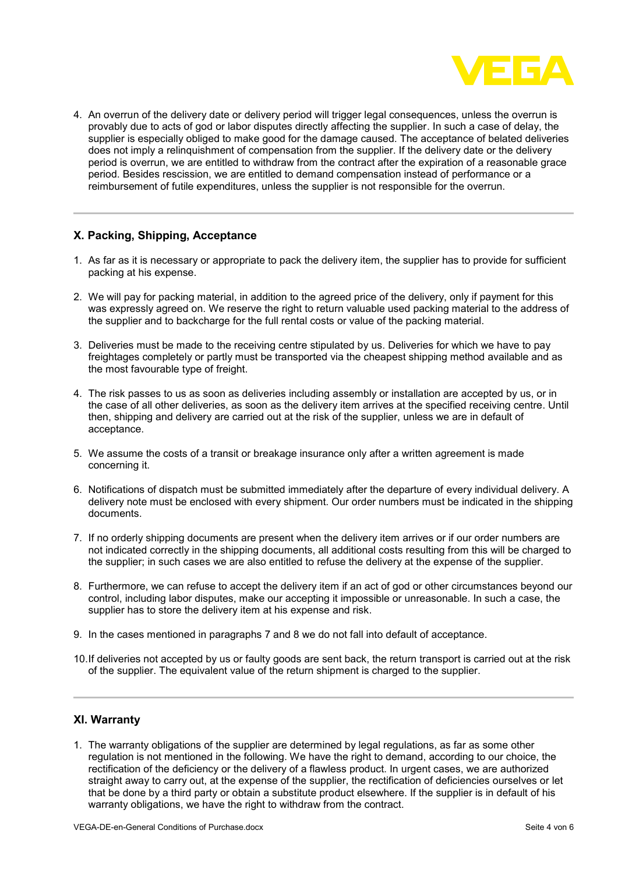

4. An overrun of the delivery date or delivery period will trigger legal consequences, unless the overrun is provably due to acts of god or labor disputes directly affecting the supplier. In such a case of delay, the supplier is especially obliged to make good for the damage caused. The acceptance of belated deliveries does not imply a relinquishment of compensation from the supplier. If the delivery date or the delivery period is overrun, we are entitled to withdraw from the contract after the expiration of a reasonable grace period. Besides rescission, we are entitled to demand compensation instead of performance or a reimbursement of futile expenditures, unless the supplier is not responsible for the overrun.

# **X. Packing, Shipping, Acceptance**

- 1. As far as it is necessary or appropriate to pack the delivery item, the supplier has to provide for sufficient packing at his expense.
- 2. We will pay for packing material, in addition to the agreed price of the delivery, only if payment for this was expressly agreed on. We reserve the right to return valuable used packing material to the address of the supplier and to backcharge for the full rental costs or value of the packing material.
- 3. Deliveries must be made to the receiving centre stipulated by us. Deliveries for which we have to pay freightages completely or partly must be transported via the cheapest shipping method available and as the most favourable type of freight.
- 4. The risk passes to us as soon as deliveries including assembly or installation are accepted by us, or in the case of all other deliveries, as soon as the delivery item arrives at the specified receiving centre. Until then, shipping and delivery are carried out at the risk of the supplier, unless we are in default of acceptance.
- 5. We assume the costs of a transit or breakage insurance only after a written agreement is made concerning it.
- 6. Notifications of dispatch must be submitted immediately after the departure of every individual delivery. A delivery note must be enclosed with every shipment. Our order numbers must be indicated in the shipping documents.
- 7. If no orderly shipping documents are present when the delivery item arrives or if our order numbers are not indicated correctly in the shipping documents, all additional costs resulting from this will be charged to the supplier; in such cases we are also entitled to refuse the delivery at the expense of the supplier.
- 8. Furthermore, we can refuse to accept the delivery item if an act of god or other circumstances beyond our control, including labor disputes, make our accepting it impossible or unreasonable. In such a case, the supplier has to store the delivery item at his expense and risk.
- 9. In the cases mentioned in paragraphs 7 and 8 we do not fall into default of acceptance.
- 10.If deliveries not accepted by us or faulty goods are sent back, the return transport is carried out at the risk of the supplier. The equivalent value of the return shipment is charged to the supplier.

# **XI. Warranty**

1. The warranty obligations of the supplier are determined by legal regulations, as far as some other regulation is not mentioned in the following. We have the right to demand, according to our choice, the rectification of the deficiency or the delivery of a flawless product. In urgent cases, we are authorized straight away to carry out, at the expense of the supplier, the rectification of deficiencies ourselves or let that be done by a third party or obtain a substitute product elsewhere. If the supplier is in default of his warranty obligations, we have the right to withdraw from the contract.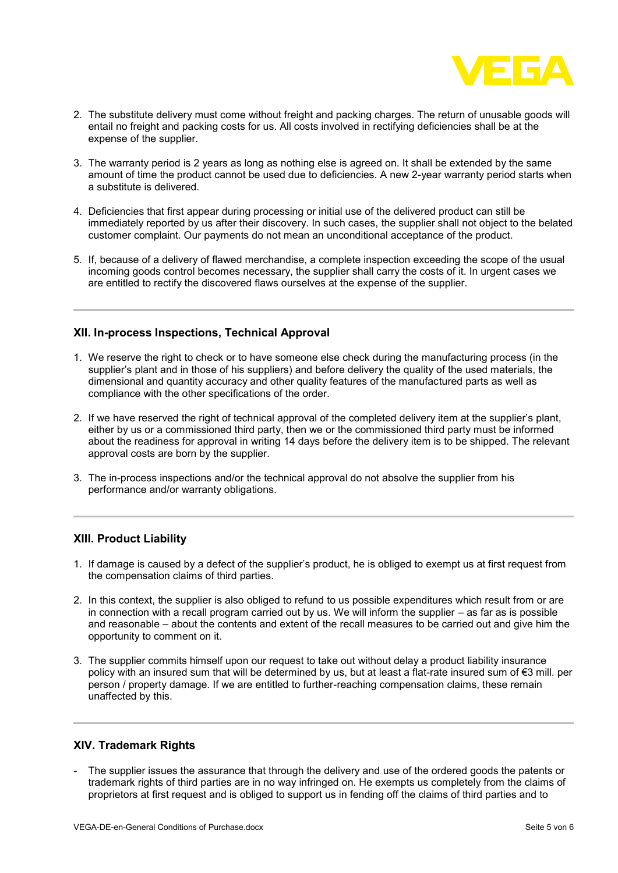

- 2. The substitute delivery must come without freight and packing charges. The return of unusable goods will entail no freight and packing costs for us. All costs involved in rectifying deficiencies shall be at the expense of the supplier.
- 3. The warranty period is 2 years as long as nothing else is agreed on. It shall be extended by the same amount of time the product cannot be used due to deficiencies. A new 2-year warranty period starts when a substitute is delivered.
- 4. Deficiencies that first appear during processing or initial use of the delivered product can still be immediately reported by us after their discovery. In such cases, the supplier shall not object to the belated customer complaint. Our payments do not mean an unconditional acceptance of the product.
- 5. If, because of a delivery of flawed merchandise, a complete inspection exceeding the scope of the usual incoming goods control becomes necessary, the supplier shall carry the costs of it. In urgent cases we are entitled to rectify the discovered flaws ourselves at the expense of the supplier.

#### **XII. In-process Inspections, Technical Approval**

- 1. We reserve the right to check or to have someone else check during the manufacturing process (in the supplier's plant and in those of his suppliers) and before delivery the quality of the used materials, the dimensional and quantity accuracy and other quality features of the manufactured parts as well as compliance with the other specifications of the order.
- 2. If we have reserved the right of technical approval of the completed delivery item at the supplier's plant, either by us or a commissioned third party, then we or the commissioned third party must be informed about the readiness for approval in writing 14 days before the delivery item is to be shipped. The relevant approval costs are born by the supplier.
- 3. The in-process inspections and/or the technical approval do not absolve the supplier from his performance and/or warranty obligations.

#### **XIII. Product Liability**

- 1. If damage is caused by a defect of the supplier's product, he is obliged to exempt us at first request from the compensation claims of third parties.
- 2. In this context, the supplier is also obliged to refund to us possible expenditures which result from or are in connection with a recall program carried out by us. We will inform the supplier – as far as is possible and reasonable – about the contents and extent of the recall measures to be carried out and give him the opportunity to comment on it.
- 3. The supplier commits himself upon our request to take out without delay a product liability insurance policy with an insured sum that will be determined by us, but at least a flat-rate insured sum of €3 mill. per person / property damage. If we are entitled to further-reaching compensation claims, these remain unaffected by this.

#### **XIV. Trademark Rights**

The supplier issues the assurance that through the delivery and use of the ordered goods the patents or trademark rights of third parties are in no way infringed on. He exempts us completely from the claims of proprietors at first request and is obliged to support us in fending off the claims of third parties and to